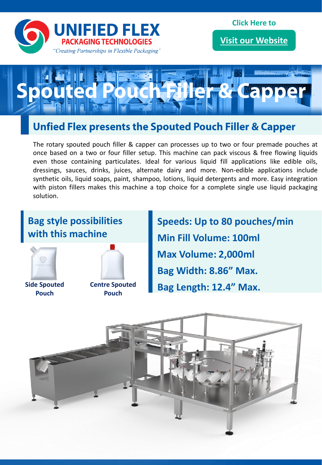

**[Visit our Website](https://www.unifiedflex.com/?utm_source=Multilane_Auger_Filler&utm_medium=PDF&utm_campaign=visit_our_website_button)**



# **Unfied Flex presents the Spouted Pouch Filler & Capper**

The rotary spouted pouch filler & capper can processes up to two or four premade pouches at once based on a two or four filler setup. This machine can pack viscous & free flowing liquids even those containing particulates. Ideal for various liquid fill applications like edible oils, dressings, sauces, drinks, juices, alternate dairy and more. Non-edible applications include synthetic oils, liquid soaps, paint, shampoo, lotions, liquid detergents and more. Easy integration with piston fillers makes this machine a top choice for a complete single use liquid packaging solution.

### **Bag style possibilities with this machine**



**Side Spouted Pouch**



**Speeds: Up to 80 pouches/min Min Fill Volume: 100ml Max Volume: 2,000ml Bag Width: 8.86" Max. Bag Length: 12.4" Max.**